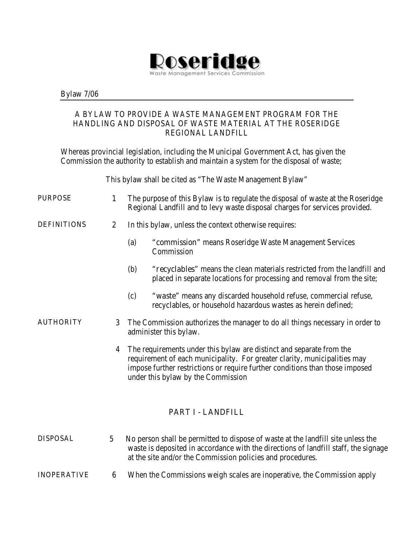

Bylaw 7/06

### A BYLAW TO PROVIDE A WASTE MANAGEMENT PROGRAM FOR THE HANDLING AND DISPOSAL OF WASTE MATERIAL AT THE ROSERIDGE REGIONAL LANDFILL

Whereas provincial legislation, including the Municipal Government Act, has given the Commission the authority to establish and maintain a system for the disposal of waste;

This bylaw shall be cited as "The Waste Management Bylaw"

- PURPOSE 1 The purpose of this Bylaw is to regulate the disposal of waste at the Roseridge Regional Landfill and to levy waste disposal charges for services provided.
- 
- DEFINITIONS 2 In this bylaw, unless the context otherwise requires:
	- (a) "commission" means Roseridge Waste Management Services **Commission**
	- (b) "recyclables" means the clean materials restricted from the landfill and placed in separate locations for processing and removal from the site;
	- (c) "waste" means any discarded household refuse, commercial refuse, recyclables, or household hazardous wastes as herein defined;
- AUTHORITY 3 The Commission authorizes the manager to do all things necessary in order to administer this bylaw.
	- 4 The requirements under this bylaw are distinct and separate from the requirement of each municipality. For greater clarity, municipalities may impose further restrictions or require further conditions than those imposed under this bylaw by the Commission

## PART I - LANDFILL

- DISPOSAL 5 No person shall be permitted to dispose of waste at the landfill site unless the waste is deposited in accordance with the directions of landfill staff, the signage at the site and/or the Commission policies and procedures.
- **INOPERATIVE** 6 When the Commissions weigh scales are inoperative, the Commission apply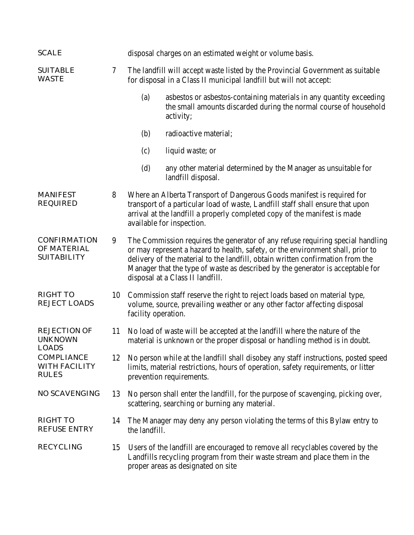| <b>SCALE</b>                                                    |                |                                                                                                                                                                                                                                                                                                                                                                           | disposal charges on an estimated weight or volume basis.                                                                                                |  |
|-----------------------------------------------------------------|----------------|---------------------------------------------------------------------------------------------------------------------------------------------------------------------------------------------------------------------------------------------------------------------------------------------------------------------------------------------------------------------------|---------------------------------------------------------------------------------------------------------------------------------------------------------|--|
| <b>SUITABLE</b><br><b>WASTE</b>                                 | $\overline{7}$ | The landfill will accept waste listed by the Provincial Government as suitable<br>for disposal in a Class II municipal landfill but will not accept:                                                                                                                                                                                                                      |                                                                                                                                                         |  |
|                                                                 |                | (a)                                                                                                                                                                                                                                                                                                                                                                       | asbestos or asbestos-containing materials in any quantity exceeding<br>the small amounts discarded during the normal course of household<br>activity;   |  |
|                                                                 |                | (b)                                                                                                                                                                                                                                                                                                                                                                       | radioactive material;                                                                                                                                   |  |
|                                                                 |                | (c)                                                                                                                                                                                                                                                                                                                                                                       | liquid waste; or                                                                                                                                        |  |
|                                                                 |                | (d)                                                                                                                                                                                                                                                                                                                                                                       | any other material determined by the Manager as unsuitable for<br>landfill disposal.                                                                    |  |
| <b>MANIFEST</b><br><b>REQUIRED</b>                              | 8              | Where an Alberta Transport of Dangerous Goods manifest is required for<br>transport of a particular load of waste, Landfill staff shall ensure that upon<br>arrival at the landfill a properly completed copy of the manifest is made<br>available for inspection.                                                                                                        |                                                                                                                                                         |  |
| <b>CONFIRMATION</b><br><b>OF MATERIAL</b><br><b>SUITABILITY</b> | 9              | The Commission requires the generator of any refuse requiring special handling<br>or may represent a hazard to health, safety, or the environment shall, prior to<br>delivery of the material to the landfill, obtain written confirmation from the<br>Manager that the type of waste as described by the generator is acceptable for<br>disposal at a Class II landfill. |                                                                                                                                                         |  |
| <b>RIGHT TO</b><br><b>REJECT LOADS</b>                          | 10             | facility operation.                                                                                                                                                                                                                                                                                                                                                       | Commission staff reserve the right to reject loads based on material type,<br>volume, source, prevailing weather or any other factor affecting disposal |  |
| <b>REJECTION OF</b><br><b>UNKNOWN</b><br><b>LOADS</b>           | 11             | No load of waste will be accepted at the landfill where the nature of the<br>material is unknown or the proper disposal or handling method is in doubt.                                                                                                                                                                                                                   |                                                                                                                                                         |  |
| <b>COMPLIANCE</b><br><b>WITH FACILITY</b><br><b>RULES</b>       | 12             | No person while at the landfill shall disobey any staff instructions, posted speed<br>limits, material restrictions, hours of operation, safety requirements, or litter<br>prevention requirements.                                                                                                                                                                       |                                                                                                                                                         |  |
| <b>NO SCAVENGING</b>                                            | 13             | No person shall enter the landfill, for the purpose of scavenging, picking over,<br>scattering, searching or burning any material.                                                                                                                                                                                                                                        |                                                                                                                                                         |  |
| <b>RIGHT TO</b><br><b>REFUSE ENTRY</b>                          | 14             | the landfill.                                                                                                                                                                                                                                                                                                                                                             | The Manager may deny any person violating the terms of this Bylaw entry to                                                                              |  |
| <b>RECYCLING</b>                                                | 15             | Users of the landfill are encouraged to remove all recyclables covered by the<br>Landfills recycling program from their waste stream and place them in the<br>proper areas as designated on site                                                                                                                                                                          |                                                                                                                                                         |  |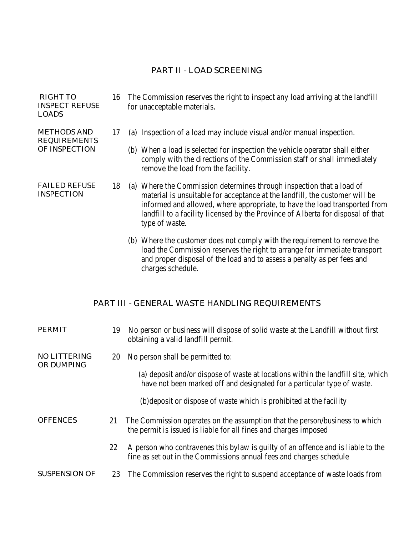## PART II - LOAD SCREENING

| <b>RIGHT TO</b><br><b>INSPECT REFUSE</b><br><b>LOADS</b>   | 16 | The Commission reserves the right to inspect any load arriving at the landfill<br>for unacceptable materials.                                                                                                                                                                                                                           |  |
|------------------------------------------------------------|----|-----------------------------------------------------------------------------------------------------------------------------------------------------------------------------------------------------------------------------------------------------------------------------------------------------------------------------------------|--|
| <b>METHODS AND</b><br><b>REQUIREMENTS</b><br>OF INSPECTION | 17 | (a) Inspection of a load may include visual and/or manual inspection.                                                                                                                                                                                                                                                                   |  |
|                                                            |    | (b) When a load is selected for inspection the vehicle operator shall either<br>comply with the directions of the Commission staff or shall immediately<br>remove the load from the facility.                                                                                                                                           |  |
| <b>FAILED REFUSE</b><br><b>INSPECTION</b>                  | 18 | (a) Where the Commission determines through inspection that a load of<br>material is unsuitable for acceptance at the landfill, the customer will be<br>informed and allowed, where appropriate, to have the load transported from<br>landfill to a facility licensed by the Province of Alberta for disposal of that<br>type of waste. |  |
|                                                            |    | (b) Where the customer does not comply with the requirement to remove the                                                                                                                                                                                                                                                               |  |

(b) Where the customer does not comply with the requirement to remove the load the Commission reserves the right to arrange for immediate transport and proper disposal of the load and to assess a penalty as per fees and charges schedule.

# PART III - GENERAL WASTE HANDLING REQUIREMENTS

| <b>PERMIT</b>                            | 19 | No person or business will dispose of solid waste at the Landfill without first<br>obtaining a valid landfill permit.                                       |
|------------------------------------------|----|-------------------------------------------------------------------------------------------------------------------------------------------------------------|
| <b>NO LITTERING</b><br><b>OR DUMPING</b> | 20 | No person shall be permitted to:                                                                                                                            |
|                                          |    | (a) deposit and/or dispose of waste at locations within the landfill site, which<br>have not been marked off and designated for a particular type of waste. |
|                                          |    | (b) deposit or dispose of waste which is prohibited at the facility                                                                                         |
| <b>OFFENCES</b>                          | 21 | The Commission operates on the assumption that the person/business to which<br>the permit is issued is liable for all fines and charges imposed             |
|                                          | 22 | A person who contravenes this bylaw is guilty of an offence and is liable to the<br>fine as set out in the Commissions annual fees and charges schedule     |
| <b>SUSPENSION OF</b>                     | 23 | The Commission reserves the right to suspend acceptance of waste loads from                                                                                 |